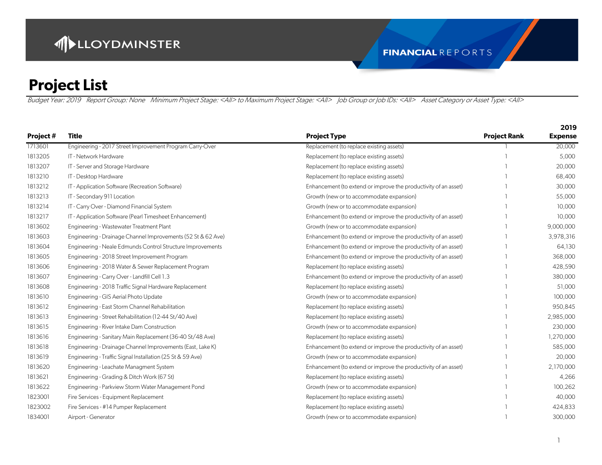|           |                                                              |                                                                 |                     | 2019           |
|-----------|--------------------------------------------------------------|-----------------------------------------------------------------|---------------------|----------------|
| Project # | <b>Title</b>                                                 | <b>Project Type</b>                                             | <b>Project Rank</b> | <b>Expense</b> |
| 1713601   | Engineering - 2017 Street Improvement Program Carry-Over     | Replacement (to replace existing assets)                        |                     | 20,000         |
| 1813205   | IT - Network Hardware                                        | Replacement (to replace existing assets)                        |                     | 5,000          |
| 1813207   | IT - Server and Storage Hardware                             | Replacement (to replace existing assets)                        |                     | 20,000         |
| 1813210   | IT - Desktop Hardware                                        | Replacement (to replace existing assets)                        |                     | 68,400         |
| 1813212   | IT - Application Software (Recreation Software)              | Enhancement (to extend or improve the productivity of an asset) |                     | 30,000         |
| 1813213   | IT - Secondary 911 Location                                  | Growth (new or to accommodate expansion)                        |                     | 55,000         |
| 1813214   | IT - Carry Over - Diamond Financial System                   | Growth (new or to accommodate expansion)                        |                     | 10,000         |
| 1813217   | IT - Application Software (Pearl Timesheet Enhancement)      | Enhancement (to extend or improve the productivity of an asset) |                     | 10,000         |
| 1813602   | Engineering - Wastewater Treatment Plant                     | Growth (new or to accommodate expansion)                        |                     | 9,000,000      |
| 1813603   | Engineering - Drainage Channel Improvements (52 St & 62 Ave) | Enhancement (to extend or improve the productivity of an asset) |                     | 3,978,316      |
| 1813604   | Engineering - Neale Edmunds Control Structure Improvements   | Enhancement (to extend or improve the productivity of an asset) |                     | 64,130         |
| 1813605   | Engineering - 2018 Street Improvement Program                | Enhancement (to extend or improve the productivity of an asset) |                     | 368,000        |
| 1813606   | Engineering - 2018 Water & Sewer Replacement Program         | Replacement (to replace existing assets)                        |                     | 428,590        |
| 1813607   | Engineering - Carry Over - Landfill Cell 1.3                 | Enhancement (to extend or improve the productivity of an asset) |                     | 380,000        |
| 1813608   | Engineering - 2018 Traffic Signal Hardware Replacement       | Replacement (to replace existing assets)                        |                     | 51,000         |
| 1813610   | Engineering - GIS Aerial Photo Update                        | Growth (new or to accommodate expansion)                        |                     | 100,000        |
| 1813612   | Engineering - East Storm Channel Rehabilitation              | Replacement (to replace existing assets)                        |                     | 950,845        |
| 1813613   | Engineering - Street Rehabilitation (12-44 St/40 Ave)        | Replacement (to replace existing assets)                        |                     | 2,985,000      |
| 1813615   | Engineering - River Intake Dam Construction                  | Growth (new or to accommodate expansion)                        |                     | 230,000        |
| 1813616   | Engineering - Sanitary Main Replacement (36-40 St/48 Ave)    | Replacement (to replace existing assets)                        |                     | 1,270,000      |
| 1813618   | Engineering - Drainage Channel Improvements (East, Lake K)   | Enhancement (to extend or improve the productivity of an asset) |                     | 585,000        |
| 1813619   | Engineering - Traffic Signal Installation (25 St & 59 Ave)   | Growth (new or to accommodate expansion)                        |                     | 20,000         |
| 1813620   | Engineering - Leachate Managment System                      | Enhancement (to extend or improve the productivity of an asset) |                     | 2,170,000      |
| 1813621   | Engineering - Grading & Ditch Work (67 St)                   | Replacement (to replace existing assets)                        |                     | 4,266          |
| 1813622   | Engineering - Parkview Storm Water Management Pond           | Growth (new or to accommodate expansion)                        |                     | 100,262        |
| 1823001   | Fire Services - Equipment Replacement                        | Replacement (to replace existing assets)                        |                     | 40,000         |
| 1823002   | Fire Services - #14 Pumper Replacement                       | Replacement (to replace existing assets)                        |                     | 424,833        |
| 1834001   | Airport - Generator                                          | Growth (new or to accommodate expansion)                        |                     | 300,000        |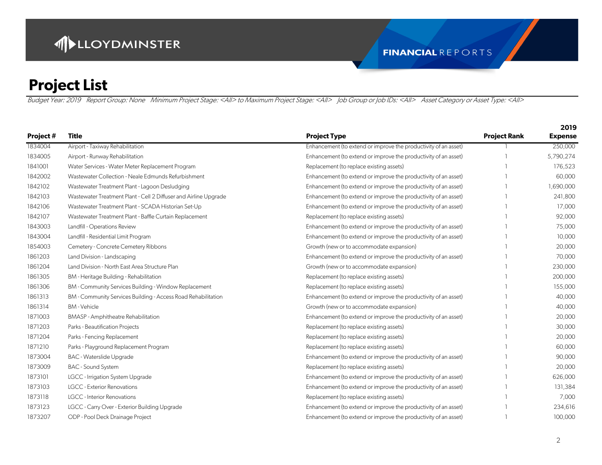|           |                                                                  |                                                                 |                     | 2019           |
|-----------|------------------------------------------------------------------|-----------------------------------------------------------------|---------------------|----------------|
| Project # | <b>Title</b>                                                     | <b>Project Type</b>                                             | <b>Project Rank</b> | <b>Expense</b> |
| 1834004   | Airport - Taxiway Rehabilitation                                 | Enhancement (to extend or improve the productivity of an asset) |                     | 250,000        |
| 1834005   | Airport - Runway Rehabilitation                                  | Enhancement (to extend or improve the productivity of an asset) |                     | 5,790,274      |
| 1841001   | Water Services - Water Meter Replacement Program                 | Replacement (to replace existing assets)                        |                     | 176,523        |
| 1842002   | Wastewater Collection - Neale Edmunds Refurbishment              | Enhancement (to extend or improve the productivity of an asset) |                     | 60,000         |
| 1842102   | Wastewater Treatment Plant - Lagoon Desludging                   | Enhancement (to extend or improve the productivity of an asset) |                     | 1,690,000      |
| 1842103   | Wastewater Treatment Plant - Cell 2 Diffuser and Airline Upgrade | Enhancement (to extend or improve the productivity of an asset) |                     | 241,800        |
| 1842106   | Wastewater Treatment Plant - SCADA Historian Set-Up              | Enhancement (to extend or improve the productivity of an asset) |                     | 17,000         |
| 1842107   | Wastewater Treatment Plant - Baffle Curtain Replacement          | Replacement (to replace existing assets)                        |                     | 92,000         |
| 1843003   | Landfill - Operations Review                                     | Enhancement (to extend or improve the productivity of an asset) |                     | 75,000         |
| 1843004   | Landfill - Residential Limit Program                             | Enhancement (to extend or improve the productivity of an asset) |                     | 10,000         |
| 1854003   | Cemetery - Concrete Cemetery Ribbons                             | Growth (new or to accommodate expansion)                        |                     | 20,000         |
| 1861203   | Land Division - Landscaping                                      | Enhancement (to extend or improve the productivity of an asset) |                     | 70,000         |
| 1861204   | Land Division - North East Area Structure Plan                   | Growth (new or to accommodate expansion)                        |                     | 230,000        |
| 1861305   | BM - Heritage Building - Rehabilitation                          | Replacement (to replace existing assets)                        |                     | 200,000        |
| 1861306   | BM - Community Services Building - Window Replacement            | Replacement (to replace existing assets)                        |                     | 155,000        |
| 1861313   | BM - Community Services Building - Access Road Rehabilitation    | Enhancement (to extend or improve the productivity of an asset) |                     | 40,000         |
| 1861314   | <b>BM-Vehicle</b>                                                | Growth (new or to accommodate expansion)                        |                     | 40,000         |
| 1871003   | <b>BMASP</b> - Amphitheatre Rehabilitation                       | Enhancement (to extend or improve the productivity of an asset) |                     | 20,000         |
| 1871203   | Parks - Beautification Projects                                  | Replacement (to replace existing assets)                        |                     | 30,000         |
| 1871204   | Parks - Fencing Replacement                                      | Replacement (to replace existing assets)                        |                     | 20,000         |
| 1871210   | Parks - Playground Replacement Program                           | Replacement (to replace existing assets)                        |                     | 60,000         |
| 1873004   | <b>BAC - Waterslide Upgrade</b>                                  | Enhancement (to extend or improve the productivity of an asset) |                     | 90,000         |
| 1873009   | <b>BAC</b> - Sound System                                        | Replacement (to replace existing assets)                        |                     | 20,000         |
| 1873101   | <b>LGCC - Irrigation System Upgrade</b>                          | Enhancement (to extend or improve the productivity of an asset) |                     | 626,000        |
| 1873103   | <b>LGCC</b> - Exterior Renovations                               | Enhancement (to extend or improve the productivity of an asset) |                     | 131,384        |
| 1873118   | <b>LGCC</b> - Interior Renovations                               | Replacement (to replace existing assets)                        |                     | 7,000          |
| 1873123   | LGCC - Carry Over - Exterior Building Upgrade                    | Enhancement (to extend or improve the productivity of an asset) |                     | 234,616        |
| 1873207   | ODP - Pool Deck Drainage Project                                 | Enhancement (to extend or improve the productivity of an asset) |                     | 100,000        |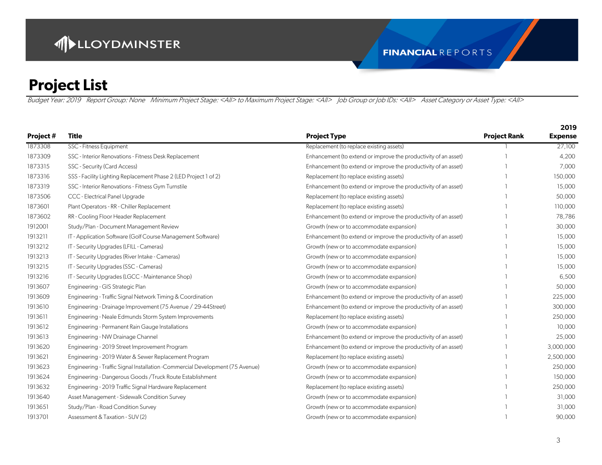Budget Year: 2019 Report Group: None Minimum Project Stage: <All> to Maximum Project Stage: <All> Job Group or Job IDs: <All> Asset Category or Asset Type: <All>

|           |                                                                                |                                                                 |                     | ZUIJ           |
|-----------|--------------------------------------------------------------------------------|-----------------------------------------------------------------|---------------------|----------------|
| Project # | Title                                                                          | <b>Project Type</b>                                             | <b>Project Rank</b> | <b>Expense</b> |
| 1873308   | SSC - Fitness Equipment                                                        | Replacement (to replace existing assets)                        |                     | 27,100         |
| 1873309   | SSC - Interior Renovations - Fitness Desk Replacement                          | Enhancement (to extend or improve the productivity of an asset) |                     | 4,200          |
| 1873315   | SSC - Security (Card Access)                                                   | Enhancement (to extend or improve the productivity of an asset) |                     | 7,000          |
| 1873316   | SSS - Facility Lighting Replacement Phase 2 (LED Project 1 of 2)               | Replacement (to replace existing assets)                        |                     | 150,000        |
| 1873319   | SSC - Interior Renovations - Fitness Gym Turnstile                             | Enhancement (to extend or improve the productivity of an asset) |                     | 15,000         |
| 1873506   | CCC - Electrical Panel Upgrade                                                 | Replacement (to replace existing assets)                        |                     | 50,000         |
| 1873601   | Plant Operators - RR - Chiller Replacement                                     | Replacement (to replace existing assets)                        |                     | 110,000        |
| 1873602   | RR - Cooling Floor Header Replacement                                          | Enhancement (to extend or improve the productivity of an asset) |                     | 78,786         |
| 1912001   | Study/Plan - Document Management Review                                        | Growth (new or to accommodate expansion)                        |                     | 30,000         |
| 1913211   | IT - Application Software (Golf Course Management Software)                    | Enhancement (to extend or improve the productivity of an asset) |                     | 15,000         |
| 1913212   | IT - Security Upgrades (LFILL - Cameras)                                       | Growth (new or to accommodate expansion)                        |                     | 15,000         |
| 1913213   | IT - Security Upgrades (River Intake - Cameras)                                | Growth (new or to accommodate expansion)                        |                     | 15,000         |
| 1913215   | IT - Security Upgrades (SSC - Cameras)                                         | Growth (new or to accommodate expansion)                        |                     | 15,000         |
| 1913216   | IT - Security Upgrades (LGCC - Maintenance Shop)                               | Growth (new or to accommodate expansion)                        |                     | 6,500          |
| 1913607   | Engineering - GIS Strategic Plan                                               | Growth (new or to accommodate expansion)                        |                     | 50,000         |
| 1913609   | Engineering - Traffic Signal Network Timing & Coordination                     | Enhancement (to extend or improve the productivity of an asset) |                     | 225,000        |
| 1913610   | Engineering - Drainage Improvement (75 Avenue / 29-44Street)                   | Enhancement (to extend or improve the productivity of an asset) |                     | 300,000        |
| 1913611   | Engineering - Neale Edmunds Storm System Improvements                          | Replacement (to replace existing assets)                        |                     | 250,000        |
| 1913612   | Engineering - Permanent Rain Gauge Installations                               | Growth (new or to accommodate expansion)                        |                     | 10,000         |
| 1913613   | Engineering - NW Drainage Channel                                              | Enhancement (to extend or improve the productivity of an asset) |                     | 25,000         |
| 1913620   | Engineering - 2019 Street Improvement Program                                  | Enhancement (to extend or improve the productivity of an asset) |                     | 3,000,000      |
| 1913621   | Engineering - 2019 Water & Sewer Replacement Program                           | Replacement (to replace existing assets)                        |                     | 2,500,000      |
| 1913623   | Engineering - Traffic Signal Installation - Commercial Development (75 Avenue) | Growth (new or to accommodate expansion)                        |                     | 250,000        |
| 1913624   | Engineering - Dangerous Goods / Truck Route Establishment                      | Growth (new or to accommodate expansion)                        |                     | 150,000        |
| 1913632   | Engineering - 2019 Traffic Signal Hardware Replacement                         | Replacement (to replace existing assets)                        |                     | 250,000        |
| 1913640   | Asset Management - Sidewalk Condition Survey                                   | Growth (new or to accommodate expansion)                        |                     | 31,000         |
| 1913651   | Study/Plan - Road Condition Survey                                             | Growth (new or to accommodate expansion)                        |                     | 31,000         |
| 1913701   | Assessment & Taxation - SUV (2)                                                | Growth (new or to accommodate expansion)                        |                     | 90,000         |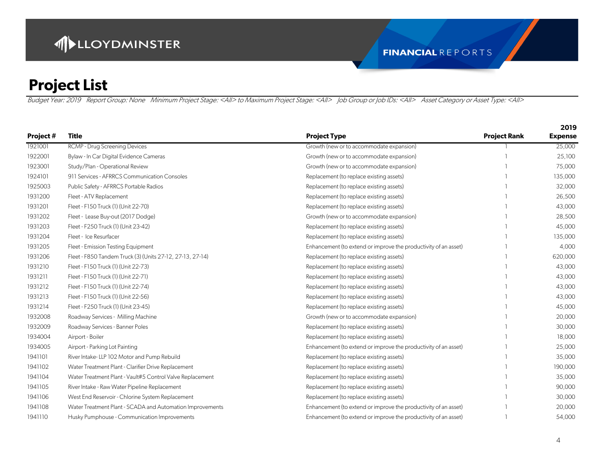|           |                                                           |                                                                 |                     | 2019           |
|-----------|-----------------------------------------------------------|-----------------------------------------------------------------|---------------------|----------------|
| Project # | <b>Title</b>                                              | <b>Project Type</b>                                             | <b>Project Rank</b> | <b>Expense</b> |
| 1921001   | RCMP - Drug Screening Devices                             | Growth (new or to accommodate expansion)                        |                     | 25,000         |
| 1922001   | Bylaw - In Car Digital Evidence Cameras                   | Growth (new or to accommodate expansion)                        |                     | 25,100         |
| 1923001   | Study/Plan - Operational Review                           | Growth (new or to accommodate expansion)                        |                     | 75,000         |
| 1924101   | 911 Services - AFRRCS Communication Consoles              | Replacement (to replace existing assets)                        |                     | 135,000        |
| 1925003   | Public Safety - AFRRCS Portable Radios                    | Replacement (to replace existing assets)                        |                     | 32,000         |
| 1931200   | Fleet - ATV Replacement                                   | Replacement (to replace existing assets)                        |                     | 26,500         |
| 1931201   | Fleet - F150 Truck (1) (Unit 22-70)                       | Replacement (to replace existing assets)                        |                     | 43,000         |
| 1931202   | Fleet - Lease Buy-out (2017 Dodge)                        | Growth (new or to accommodate expansion)                        |                     | 28,500         |
| 1931203   | Fleet - F250 Truck (1) (Unit 23-42)                       | Replacement (to replace existing assets)                        |                     | 45,000         |
| 1931204   | Fleet - Ice Resurfacer                                    | Replacement (to replace existing assets)                        |                     | 135,000        |
| 1931205   | Fleet - Emission Testing Equipment                        | Enhancement (to extend or improve the productivity of an asset) |                     | 4,000          |
| 1931206   | Fleet - F850 Tandem Truck (3) (Units 27-12, 27-13, 27-14) | Replacement (to replace existing assets)                        |                     | 620,000        |
| 1931210   | Fleet - F150 Truck (1) (Unit 22-73)                       | Replacement (to replace existing assets)                        |                     | 43,000         |
| 1931211   | Fleet - F150 Truck (1) (Unit 22-71)                       | Replacement (to replace existing assets)                        |                     | 43,000         |
| 1931212   | Fleet - F150 Truck (1) (Unit 22-74)                       | Replacement (to replace existing assets)                        |                     | 43,000         |
| 1931213   | Fleet - F150 Truck (1) (Unit 22-56)                       | Replacement (to replace existing assets)                        |                     | 43,000         |
| 1931214   | Fleet - F250 Truck (1) (Unit 23-45)                       | Replacement (to replace existing assets)                        |                     | 45,000         |
| 1932008   | Roadway Services - Milling Machine                        | Growth (new or to accommodate expansion)                        |                     | 20,000         |
| 1932009   | Roadway Services - Banner Poles                           | Replacement (to replace existing assets)                        |                     | 30,000         |
| 1934004   | Airport - Boiler                                          | Replacement (to replace existing assets)                        |                     | 18,000         |
| 1934005   | Airport - Parking Lot Painting                            | Enhancement (to extend or improve the productivity of an asset) |                     | 25,000         |
| 1941101   | River Intake-LLP 102 Motor and Pump Rebuild               | Replacement (to replace existing assets)                        |                     | 35,000         |
| 1941102   | Water Treatment Plant - Clarifier Drive Replacement       | Replacement (to replace existing assets)                        |                     | 190,000        |
| 1941104   | Water Treatment Plant - Vault#5 Control Valve Replacement | Replacement (to replace existing assets)                        |                     | 35,000         |
| 1941105   | River Intake - Raw Water Pipeline Replacement             | Replacement (to replace existing assets)                        |                     | 90,000         |
| 1941106   | West End Reservoir - Chlorine System Replacement          | Replacement (to replace existing assets)                        |                     | 30,000         |
| 1941108   | Water Treatment Plant - SCADA and Automation Improvements | Enhancement (to extend or improve the productivity of an asset) |                     | 20,000         |
| 1941110   | Husky Pumphouse - Communication Improvements              | Enhancement (to extend or improve the productivity of an asset) |                     | 54,000         |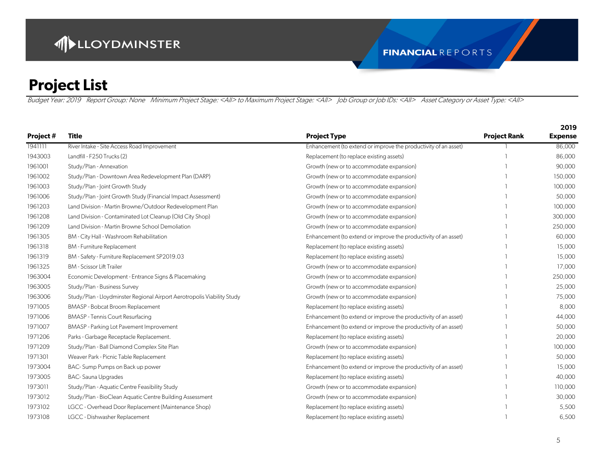Budget Year: 2019 Report Group: None Minimum Project Stage: <All> to Maximum Project Stage: <All> Job Group or Job IDs: <All> Asset Category or Asset Type: <All>

|           |                                                                         |                                                                 |                     | ZUIJ           |
|-----------|-------------------------------------------------------------------------|-----------------------------------------------------------------|---------------------|----------------|
| Project # | Title                                                                   | <b>Project Type</b>                                             | <b>Project Rank</b> | <b>Expense</b> |
| 1941111   | River Intake - Site Access Road Improvement                             | Enhancement (to extend or improve the productivity of an asset) |                     | 86,000         |
| 1943003   | Landfill - F250 Trucks (2)                                              | Replacement (to replace existing assets)                        |                     | 86,000         |
| 1961001   | Study/Plan - Annexation                                                 | Growth (new or to accommodate expansion)                        |                     | 90,000         |
| 1961002   | Study/Plan - Downtown Area Redevelopment Plan (DARP)                    | Growth (new or to accommodate expansion)                        |                     | 150,000        |
| 1961003   | Study/Plan - Joint Growth Study                                         | Growth (new or to accommodate expansion)                        |                     | 100,000        |
| 1961006   | Study/Plan - Joint Growth Study (Financial Impact Assessment)           | Growth (new or to accommodate expansion)                        |                     | 50,000         |
| 1961203   | Land Division - Martin Browne/Outdoor Redevelopment Plan                | Growth (new or to accommodate expansion)                        |                     | 100,000        |
| 1961208   | Land Division - Contaminated Lot Cleanup (Old City Shop)                | Growth (new or to accommodate expansion)                        |                     | 300,000        |
| 1961209   | Land Division - Martin Browne School Demoliation                        | Growth (new or to accommodate expansion)                        |                     | 250,000        |
| 1961305   | BM - City Hall - Washroom Rehabilitation                                | Enhancement (to extend or improve the productivity of an asset) |                     | 60,000         |
| 1961318   | <b>BM</b> - Furniture Replacement                                       | Replacement (to replace existing assets)                        |                     | 15,000         |
| 1961319   | BM - Safety - Furniture Replacement SP2019.03                           | Replacement (to replace existing assets)                        |                     | 15,000         |
| 1961325   | <b>BM</b> - Scissor Lift Trailer                                        | Growth (new or to accommodate expansion)                        |                     | 17,000         |
| 1963004   | Economic Development - Entrance Signs & Placemaking                     | Growth (new or to accommodate expansion)                        |                     | 250,000        |
| 1963005   | Study/Plan - Business Survey                                            | Growth (new or to accommodate expansion)                        |                     | 25,000         |
| 1963006   | Study/Plan - Lloydminster Regional Airport Aerotropolis Viability Study | Growth (new or to accommodate expansion)                        |                     | 75,000         |
| 1971005   | BMASP - Bobcat Broom Replacement                                        | Replacement (to replace existing assets)                        |                     | 8,000          |
| 1971006   | <b>BMASP - Tennis Court Resurfacing</b>                                 | Enhancement (to extend or improve the productivity of an asset) |                     | 44,000         |
| 1971007   | BMASP - Parking Lot Pavement Improvement                                | Enhancement (to extend or improve the productivity of an asset) |                     | 50,000         |
| 1971206   | Parks - Garbage Receptacle Replacement.                                 | Replacement (to replace existing assets)                        |                     | 20,000         |
| 1971209   | Study/Plan - Ball Diamond Complex Site Plan                             | Growth (new or to accommodate expansion)                        |                     | 100,000        |
| 1971301   | Weaver Park - Picnic Table Replacement                                  | Replacement (to replace existing assets)                        |                     | 50,000         |
| 1973004   | BAC-Sump Pumps on Back up power                                         | Enhancement (to extend or improve the productivity of an asset) |                     | 15,000         |
| 1973005   | <b>BAC-Sauna Upgrades</b>                                               | Replacement (to replace existing assets)                        |                     | 40,000         |
| 1973011   | Study/Plan - Aquatic Centre Feasibility Study                           | Growth (new or to accommodate expansion)                        |                     | 110,000        |
| 1973012   | Study/Plan - BioClean Aquatic Centre Building Assessment                | Growth (new or to accommodate expansion)                        |                     | 30,000         |
| 1973102   | LGCC - Overhead Door Replacement (Maintenance Shop)                     | Replacement (to replace existing assets)                        |                     | 5,500          |
| 1973108   | LGCC - Dishwasher Replacement                                           | Replacement (to replace existing assets)                        |                     | 6,500          |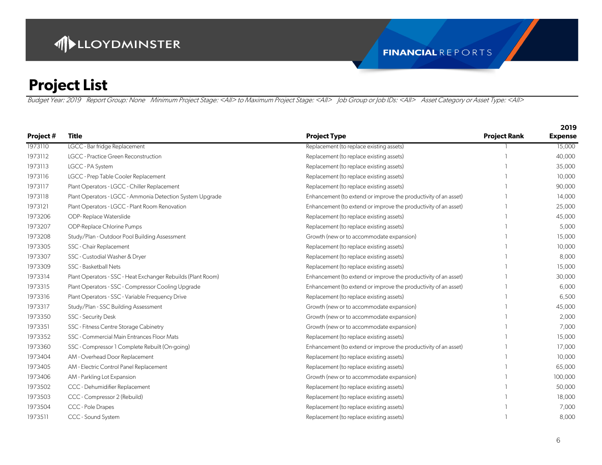|           |                                                              |                                                                 |                     | 2019           |
|-----------|--------------------------------------------------------------|-----------------------------------------------------------------|---------------------|----------------|
| Project # | <b>Title</b>                                                 | <b>Project Type</b>                                             | <b>Project Rank</b> | <b>Expense</b> |
| 1973110   | LGCC - Bar fridge Replacement                                | Replacement (to replace existing assets)                        |                     | 15,000         |
| 1973112   | LGCC - Practice Green Reconstruction                         | Replacement (to replace existing assets)                        |                     | 40,000         |
| 1973113   | LGCC - PA System                                             | Replacement (to replace existing assets)                        |                     | 35,000         |
| 1973116   | LGCC - Prep Table Cooler Replacement                         | Replacement (to replace existing assets)                        |                     | 10,000         |
| 1973117   | Plant Operators - LGCC - Chiller Replacement                 | Replacement (to replace existing assets)                        |                     | 90,000         |
| 1973118   | Plant Operators - LGCC - Ammonia Detection System Upgrade    | Enhancement (to extend or improve the productivity of an asset) |                     | 14,000         |
| 1973121   | Plant Operators - LGCC - Plant Room Renovation               | Enhancement (to extend or improve the productivity of an asset) |                     | 25,000         |
| 1973206   | ODP-Replace Waterslide                                       | Replacement (to replace existing assets)                        |                     | 45,000         |
| 1973207   | ODP-Replace Chlorine Pumps                                   | Replacement (to replace existing assets)                        |                     | 5,000          |
| 1973208   | Study/Plan - Outdoor Pool Building Assessment                | Growth (new or to accommodate expansion)                        |                     | 15,000         |
| 1973305   | SSC - Chair Replacement                                      | Replacement (to replace existing assets)                        |                     | 10,000         |
| 1973307   | SSC - Custodial Washer & Dryer                               | Replacement (to replace existing assets)                        |                     | 8,000          |
| 1973309   | SSC - Basketball Nets                                        | Replacement (to replace existing assets)                        |                     | 15,000         |
| 1973314   | Plant Operators - SSC - Heat Exchanger Rebuilds (Plant Room) | Enhancement (to extend or improve the productivity of an asset) |                     | 30,000         |
| 1973315   | Plant Operators - SSC - Compressor Cooling Upgrade           | Enhancement (to extend or improve the productivity of an asset) |                     | 6,000          |
| 1973316   | Plant Operators - SSC - Variable Frequency Drive             | Replacement (to replace existing assets)                        |                     | 6,500          |
| 1973317   | Study/Plan - SSC Building Assessment                         | Growth (new or to accommodate expansion)                        |                     | 45,000         |
| 1973350   | <b>SSC - Security Desk</b>                                   | Growth (new or to accommodate expansion)                        |                     | 2,000          |
| 1973351   | SSC - Fitness Centre Storage Cabinetry                       | Growth (new or to accommodate expansion)                        |                     | 7,000          |
| 1973352   | SSC - Commercial Main Entrances Floor Mats                   | Replacement (to replace existing assets)                        |                     | 15,000         |
| 1973360   | SSC - Compressor 1 Complete Rebuilt (On-going)               | Enhancement (to extend or improve the productivity of an asset) |                     | 17,000         |
| 1973404   | AM - Overhead Door Replacement                               | Replacement (to replace existing assets)                        |                     | 10,000         |
| 1973405   | AM - Electric Control Panel Replacement                      | Replacement (to replace existing assets)                        |                     | 65,000         |
| 1973406   | AM - Parkling Lot Expansion                                  | Growth (new or to accommodate expansion)                        |                     | 100,000        |
| 1973502   | CCC - Dehumidifier Replacement                               | Replacement (to replace existing assets)                        |                     | 50,000         |
| 1973503   | CCC - Compressor 2 (Rebuild)                                 | Replacement (to replace existing assets)                        |                     | 18,000         |
| 1973504   | CCC - Pole Drapes                                            | Replacement (to replace existing assets)                        |                     | 7,000          |
| 1973511   | CCC - Sound System                                           | Replacement (to replace existing assets)                        |                     | 8,000          |